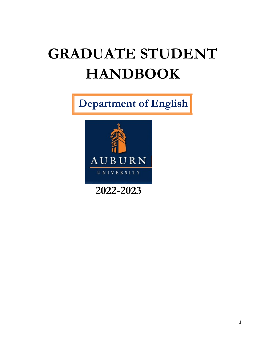# **GRADUATE STUDENT HANDBOOK**

 **Department of English**



**2022-2023**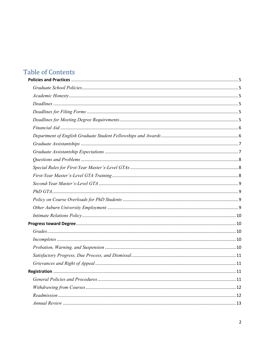## **Table of Contents**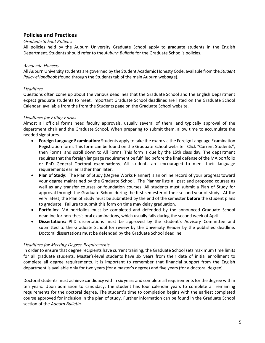## **Policies and Practices**

## *Graduate School Policies*

All policies held by the Auburn University Graduate School apply to graduate students in the English Department. Students should refer to the *Auburn Bulletin* for the Graduate School's policies.

## *Academic Honesty*

All Auburn University students are governed by the Student Academic Honesty Code, available from the *Student Policy eHandbook* (found through the Students tab of the main Auburn webpage).

## *Deadlines*

Questions often come up about the various deadlines that the Graduate School and the English Department expect graduate students to meet. Important Graduate School deadlines are listed on the Graduate School Calendar, available from the from the Students page on the Graduate School website.

## *Deadlines for Filing Forms*

Almost all official forms need faculty approvals, usually several of them, and typically approval of the department chair and the Graduate School. When preparing to submit them, allow time to accumulate the needed signatures.

- **Foreign Language Examination:** Students apply to take the exam via the Foreign Language Examination Registration form. This form can be found on the Graduate School website. Click "Current Students", then Forms, and scroll down to All Forms. This form is due by the 15th class day. The department requires that the foreign language requirement be fulfilled before the final defense of the MA portfolio or PhD General Doctoral examinations. All students are encouraged to meet their language requirements earlier rather than later.
- **Plan of Study:** The Plan of Study (Degree Works Planner) is an online record of your progress toward your degree maintained by the Graduate School. The Planner lists all past and proposed courses as well as any transfer courses or foundation courses. All students must submit a Plan of Study for approval through the Graduate School during the first semester of their second year of study. At the very latest, the Plan of Study must be submitted by the end of the semester **before** the student plans to graduate. Failure to submit this form on time may delay graduation.
- **Portfolios:** MA portfolios must be completed and defended by the announced Graduate School deadline for non-thesis oral examinations, which usually falls during the second week of April.
- **Dissertations:** PhD dissertations must be approved by the student's Advisory Committee and submitted to the Graduate School for review by the University Reader by the published deadline. Doctoral dissertations must be defended by the Graduate School deadline.

## *Deadlines for Meeting Degree Requirements*

In order to ensure that degree recipients have current training, the Graduate School sets maximum time limits for all graduate students. Master's-level students have six years from their date of initial enrollment to complete all degree requirements. It is important to remember that financial support from the English department is available only for two years (for a master's degree) and five years (for a doctoral degree).

Doctoral students must achieve candidacy within six years and complete all requirementsfor the degree within ten years. Upon admission to candidacy, the student has four calendar years to complete all remaining requirements for the doctoral degree. The student's time to completion begins with the earliest completed course approved for inclusion in the plan of study. Further information can be found in the Graduate School section of the *Auburn Bulletin.*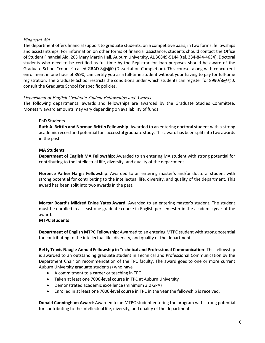## *Financial Aid*

The department offers financial support to graduate students, on a competitive basis, in two forms: fellowships and assistantships. For information on other forms of financial assistance, students should contact the Office of Student Financial Aid, 203 Mary Martin Hall, Auburn University, AL 36849-5144 (tel. 334-844-4634). Doctoral students who need to be certified as full-time by the Registrar for loan purposes should be aware of the Graduate School "course" called GRAD 8@@0 (Dissertation Completion). This course, along with concurrent enrollment in one hour of 8990, can certify you as a full-time student without your having to pay for full-time registration. The Graduate School restricts the conditions under which students can register for 8990/8@@0; consult the Graduate School for specific policies.

## *Department of English Graduate Student Fellowships and Awards*

The following departmental awards and fellowships are awarded by the Graduate Studies Committee. Monetary award amounts may vary depending on availability of funds:

## PhD Students

**Ruth A. Brittin and Norman Brittin Fellowship**: Awarded to an entering doctoral student with a strong academic record and potential for successful graduate study. This award has been split into two awards in the past.

## **MA Students**

**Department of English MA Fellowship:** Awarded to an entering MA student with strong potential for contributing to the intellectual life, diversity, and quality of the department.

**Florence Parker Hargis Fellowshi**p: Awarded to an entering master's and/or doctoral student with strong potential for contributing to the intellectual life, diversity, and quality of the department. This award has been split into two awards in the past.

**Mortar Board's Mildred Enloe Yates Award:** Awarded to an entering master's student. The student must be enrolled in at least one graduate course in English per semester in the academic year of the award.

#### **MTPC Students**

**Department of English MTPC Fellowship**: Awarded to an entering MTPC student with strong potential for contributing to the intellectual life, diversity, and quality of the department.

**Betty Travis Naugle Annual Fellowship in Technical and Professional Communication:** This fellowship is awarded to an outstanding graduate student in Technical and Professional Communication by the Department Chair on recommendation of the TPC faculty. The award goes to one or more current Auburn University graduate student(s) who have

- A commitment to a career or teaching in TPC
- Taken at least one 7000-level course in TPC at Auburn University
- Demonstrated academic excellence (minimum 3.0 GPA)
- Enrolled in at least one 7000-level course in TPC in the year the fellowship is received.

**Donald Cunningham Award**: Awarded to an MTPC student entering the program with strong potential for contributing to the intellectual life, diversity, and quality of the department.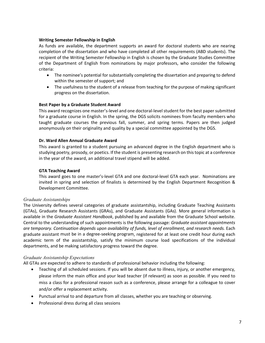## **Writing Semester Fellowship in English**

As funds are available, the department supports an award for doctoral students who are nearing completion of the dissertation and who have completed all other requirements (ABD students). The recipient of the Writing Semester Fellowship in English is chosen by the Graduate Studies Committee of the Department of English from nominations by major professors, who consider the following criteria:

- The nominee's potential for substantially completing the dissertation and preparing to defend within the semester of support; and
- The usefulness to the student of a release from teaching for the purpose of making significant progress on the dissertation.

## **Best Paper by a Graduate Student Award**

This award recognizes one master's-level and one doctoral-level student for the best paper submitted for a graduate course in English. In the spring, the DGS solicits nominees from faculty members who taught graduate courses the previous fall, summer, and spring terms. Papers are then judged anonymously on their originality and quality by a special committee appointed by the DGS.

## **Dr. Ward Allen Annual Graduate Award**

This award is granted to a student pursuing an advanced degree in the English department who is studying poetry, prosody, or poetics. If the student is presenting research on this topic at a conference in the year of the award, an additional travel stipend will be added.

## **GTA Teaching Award**

This award goes to one master's-level GTA and one doctoral-level GTA each year. Nominations are invited in spring and selection of finalists is determined by the English Department Recognition & Development Committee.

## *Graduate Assistantships*

The University defines several categories of graduate assistantship, including Graduate Teaching Assistants (GTAs), Graduate Research Assistants (GRAs), and Graduate Assistants (GAs). More general information is available in the *Graduate Assistant Handbook*, published by and available from the Graduate School website. Central to the understanding of such appointments is the following passage: *Graduate assistant appointments are temporary. Continuation depends upon availability of funds, level of enrollment, and research needs.* Each graduate assistant must be in a degree-seeking program, registered for at least one credit hour during each academic term of the assistantship, satisfy the minimum course load specifications of the individual departments, and be making satisfactory progress toward the degree.

## *Graduate Assistantship Expectations*

All GTAs are expected to adhere to standards of professional behavior including the following:

- Teaching of all scheduled sessions. If you will be absent due to illness, injury, or another emergency, please inform the main office and your lead teacher (if relevant) as soon as possible. If you need to miss a class for a professional reason such as a conference, please arrange for a colleague to cover and/or offer a replacement activity.
- Punctual arrival to and departure from all classes, whether you are teaching or observing.
- Professional dress during all class sessions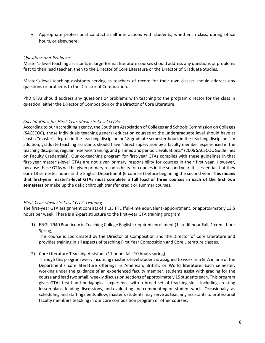• Appropriate professional conduct in all interactions with students, whether in class, during office hours, or elsewhere

## *Questions and Problems*

Master's-level teaching assistants in large-format literature courses should address any questions or problems first to their lead teacher, then to the Director of Core Literature or the Director of Graduate Studies.

Master's-level teaching assistants serving as teachers of record for their own classes should address any questions or problems to the Director of Composition.

PhD GTAs should address any questions or problems with teaching to the program director for the class in question, either the Director of Composition or the Director of Core Literature.

## *Special Rules for First-Year Master's-Level GTAs*

According to our accrediting agency, the Southern Association of Colleges and Schools Commission on Colleges (SACSCOC), those individuals teaching general education courses at the undergraduate level should have at least a "master's degree in the teaching discipline or 18 graduate semester hours in the teaching discipline." In addition, graduate teaching assistants should have "direct supervision by a faculty member experienced in the teaching discipline, regular in-service training, and planned and periodic evaluations." (2006 SACSCOC Guidelines on Faculty Credentials). Our co-teaching program for first-year GTAs complies with these guidelines in that first-year master's-level GTAs are not given primary responsibility for courses in their first year. However, because these GTAs will be given primary responsibility for courses in the second year, it is essential that they earn 18 semester hours in the English Department (6 courses) before beginning the second year. **This means that first-year master's-level GTAs must complete a full load of three courses in each of the first two semesters** or make up the deficit through transfer credit or summer courses.

## *First-Year Master's-Level GTA Training*

The first-year GTA assignment consists of a .33 FTE (full-time equivalent) appointment, or approximately 13.5 hours per week. There is a 2-part structure to the first-year GTA training program:

1) ENGL 7940 Practicum in Teaching College English: required enrollment (1 credit hour Fall; 1 credit hour Spring)

This course is coordinated by the Director of Composition and the Director of Core Literature and provides training in all aspects of teaching First Year Composition and Core Literature classes.

2) Core Literature Teaching Assistant (11 hours fall; 10 hours spring)

Through this program every incoming master's-level student is assigned to work as a GTA in one of the Department's core literature offerings in American, British, or World literature. Each semester, working under the guidance of an experienced faculty member, students assist with grading for the course and lead two small, weekly discussion sections of approximately 15 students each. This program gives GTAs first-hand pedagogical experience with a broad set of teaching skills including creating lesson plans, leading discussions, and evaluating and commenting on student work. Occasionally, as scheduling and staffing needs allow, master's students may serve as teaching assistants to professorial faculty members teaching in our core composition program or other courses.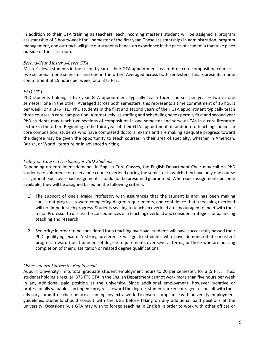In addition to their GTA training as teachers, each incoming master's student will be assigned a program assistantship of 3 hours/week for 1 semester of the first year. These assistantships in administration, program management, and outreach will give our students hands-on experience in the parts of academia that take place outside of the classroom.

## *Second-Year Master's-Level GTA*

Master's-level students in the second year of their GTA appointment teach three core composition courses – two sections in one semester and one in the other. Averaged across both semesters, this represents a time commitment of 15 hours per week, or a .375 FTE.

## *PhD GTA*

PhD students holding a five-year GTA appointment typically teach three courses per year – two in one semester, one in the other. Averaged across both semesters, this represents a time commitment of 15 hours per week, or a .375 FTE. PhD students in the first and second years of their GTA appointment typically teach three courses in core composition. Alternatively, as staffing and scheduling needs permit, first and second year PhD students may teach two sections of composition in one semester and serve as TAs in a core literature lecture in the other. Beginning in the third year of their GTA appointment, in addition to teaching courses in core composition, students who have completed doctoral exams and are making adequate progress toward the degree may be given the opportunity to teach courses in their area of specialty, whether in American, British, or World literature or in advanced writing.

## *Policy on Course Overloads for PhD Students*

Depending on enrollment demands in English Core Classes, the English Department Chair may call on PhD students to volunteer to teach a one course overload during the semester in which they have only one course assignment. Such overload assignments should not be presumed guaranteed. When such assignments become available, they will be assigned based on the following criteria:

- 1) The support of one's Major Professor, with assurances that the student is and has been making consistent progress toward completing degree requirements, and confidence that a teaching overload will not impede such progress. Students seeking to teach an overload are encouraged to meet with their major Professor to discuss the consequences of a teaching overload and consider strategies for balancing teaching and research.
- 2) Seniority: in order to be considered for a teaching overload, students will have successfully passed their PhD qualifying exam. A strong preference will go to students who have demonstrated consistent progress toward the attainment of degree requirements over several terms, or those who are nearing completion of their dissertation or related degree qualifications.

## *Other Auburn University Employment*

Auburn University limits total graduate student employment hours to 20 per semester, for a .5 FTE. Thus, students holding a regular .375 FTE GTA in the English Department cannot work more than five hours per week in any additional paid position at the university. Since additional employment, however lucrative or professionally valuable, can impede progress toward the degree, students are encouraged to consult with their advisory committee chair before assuming any extra work. To ensure compliance with university employment guidelines, students should consult with the DGS before taking on any additional paid positions at the university. Occasionally, a GTA may wish to forego teaching in English in order to work with other offices or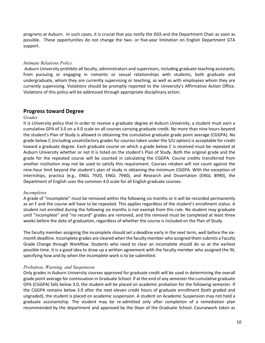programs at Auburn. In such cases, it is crucial that you notify the DGS and the Department Chair as soon as possible. These opportunities do not change the two- or five-year limitation on English Department GTA support.

## *Intimate Relations Policy*

Auburn University prohibits all faculty, administrators and supervisors, including graduate teaching assistants, from pursuing or engaging in romantic or sexual relationships with students, both graduate and undergraduate, whom they are currently supervising or teaching, as well as with employees whom they are currently supervising. Violations should be promptly reported to the University's Affirmative Action Office. Violations of this policy will be addressed through appropriate disciplinary action.

## **Progress toward Degree**

#### *Grades*

It is University policy that in order to receive a graduate degree at Auburn University, a student must earn a cumulative GPA of 3.0 on a 4.0 scale on all courses carrying graduate credit. No more than nine hours beyond the student's Plan of Study is allowed in obtaining the cumulative graduate grade point average (CGGPA). No grade below C (including unsatisfactory grades for courses taken under the S/U option) is acceptable for credit toward a graduate degree. Each graduate course on which a grade below C is received must be repeated at Auburn University whether or not it is listed on the student's Plan of Study. Both the original grade and the grade for the repeated course will be counted in calculating the CGGPA. Course credits transferred from another institution may not be used to satisfy this requirement. Courses retaken will not count against the nine-hour limit beyond the student's plan of study in obtaining the minimum CGGPA. With the exception of internships, practica (e.g., ENGL 7920, ENGL 7940), and Research and Dissertation (ENGL 8990), the Department of English uses the common 4.0 scale for all English graduate courses.

#### *Incompletes*

A grade of "incomplete" must be removed within the following six months or it will be recorded permanently as an F and the course will have to be repeated. This applies regardless of the student's enrollment status. A student not enrolled during the following six months is not exempt from this rule. No student may graduate until "incomplete" and "no record" grades are removed, and the removal must be completed at least three weeks before the date of graduation, regardless of whether the course is included on the Plan of Study.

The faculty member assigning the incomplete should set a deadline early in the next term, well before the sixmonth deadline. Incomplete grades are cleared when the faculty member who assigned them submits a Faculty Grade Change through Workflow. Students who need to clear an incomplete should do so at the earliest possible time. It is a good idea to draw up a written agreement with the faculty member who assigned the IN, specifying how and by when the incomplete work is to be submitted.

#### *Probation, Warning, and Suspension*

Only grades in Auburn University courses approved for graduate credit will be used in determining the overall grade point average for continuation in Graduate School. If at the end of any semester the cumulative graduate GPA (CGGPA) falls below 3.0, the student will be placed on academic probation for the following semester. If the CGGPA remains below 3.0 after the next eleven credit hours of graduate enrollment (both graded and ungraded), the student is placed on academic suspension. A student on Academic Suspension may not hold a graduate assistantship. The student may be re-admitted only after completion of a remediation plan recommended by the department and approved by the Dean of the Graduate School. Coursework taken as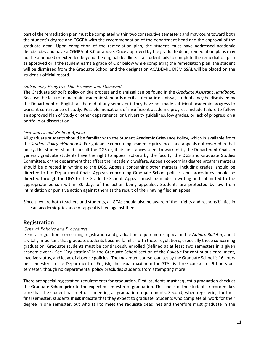part of the remediation plan must be completed within two consecutive semesters and may count toward both the student's degree and CGGPA with the recommendation of the department head and the approval of the graduate dean. Upon completion of the remediation plan, the student must have addressed academic deficiencies and have a CGGPA of 3.0 or above. Once approved by the graduate dean, remediation plans may not be amended or extended beyond the original deadline. If a student fails to complete the remediation plan as approved or if the student earns a grade of C or below while completing the remediation plan, the student will be dismissed from the Graduate School and the designation ACADEMIC DISMISSAL will be placed on the student's official record.

## *Satisfactory Progress, Due Process, and Dismissal*

The Graduate School's policy on due process and dismissal can be found in the *Graduate Assistant Handbook*. Because the failure to maintain academic standards merits automatic dismissal, students may be dismissed by the Department of English at the end of any semester if they have not made sufficient academic progress to warrant continuance of study. Possible indications of insufficient academic progress include failure to follow an approved Plan of Study or other departmental or University guidelines, low grades, or lack of progress on a portfolio or dissertation.

## *Grievances and Right of Appeal*

All graduate students should be familiar with the Student Academic Grievance Policy, which is available from the *Student Policy eHandbook*. For guidance concerning academic grievances and appeals not covered in that policy, the student should consult the DGS or, if circumstances seem to warrant it, the Department Chair. In general, graduate students have the right to appeal actions by the faculty, the DGS and Graduate Studies Committee, orthe department that affect their academic welfare. Appeals concerning degree program matters should be directed in writing to the DGS. Appeals concerning other matters, including grades, should be directed to the Department Chair. Appeals concerning Graduate School policies and procedures should be directed through the DGS to the Graduate School. Appeals must be made in writing and submitted to the appropriate person within 30 days of the action being appealed. Students are protected by law from intimidation or punitive action against them as the result of their having filed an appeal.

Since they are both teachers and students, all GTAs should also be aware of their rights and responsibilities in case an academic grievance or appeal is filed against them.

## **Registration**

## *General Policies and Procedures*

General regulations concerning registration and graduation requirements appear in the *Auburn Bulletin*, and it is vitally important that graduate students become familiar with these regulations, especially those concerning graduation. Graduate students must be continuously enrolled (defined as at least two semesters in a given academic year). See "Registration" in the Graduate School section of the *Bulletin* for continuous enrollment, inactive status, and leave of absence policies. The maximum course load set by the Graduate School is 16 hours per semester. In the Department of English, the usual maximum for GTAs is three courses or 9 hours per semester, though no departmental policy precludes students from attempting more.

There are special registration requirements for graduation. First, students **must** request a graduation check at the Graduate School **prior** to the expected semester of graduation. This check of the student's record makes sure that the student has met or is meeting all graduation requirements. Second, when registering for their final semester, students **must** indicate that they expect to graduate. Students who complete all work for their degree in one semester, but who fail to meet the requisite deadlines and therefore must graduate in the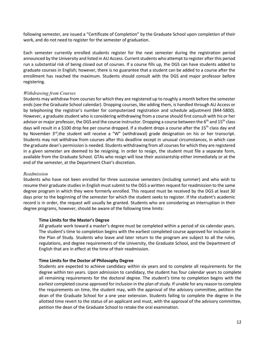following semester, are issued a "Certificate of Completion" by the Graduate School upon completion of their work, and do not need to register for the semester of graduation.

Each semester currently enrolled students register for the next semester during the registration period announced by the University and listed in AU Access. Current students who attempt to register after this period run a substantial risk of being closed out of courses. If a course fills up, the DGS can have students added to graduate courses in English; however, there is no guarantee that a student can be added to a course after the enrollment has reached the maximum. Students should consult with the DGS and major professor before registering.

## *Withdrawing from Courses*

Students may withdraw from coursesfor which they are registered up to roughly a month before the semester ends (see the Graduate School calendar). Dropping courses, like adding them, is handled through AU Access or by telephoning the registrar's number for computerized registration and schedule adjustment (844-5800). However, a graduate student who is considering withdrawing from a course should first consult with his or her advisor or major professor, the DGS and the course instructor. Dropping a course between the 6<sup>th</sup> and 15<sup>th</sup> class days will result in a \$100 drop fee per course dropped. If a student drops a course after the 15<sup>th</sup> class day and by November 3<sup>rd</sup>,the student will receive a "W" (withdrawal) grade designation on his or her transcript. Students may not withdraw from courses after this deadline except in unusual circumstances, in which case the graduate dean's permission is needed. Students withdrawing from all courses for which they are registered in a given semester are deemed to be resigning. In order to resign, the student must file a separate form, available from the Graduate School. GTAs who resign will lose their assistantship either immediately or at the end of the semester, at the Department Chair's discretion.

## *Readmission*

Students who have not been enrolled for three successive semesters (including summer) and who wish to resume their graduate studies in English must submit to the DGS a written request for readmission to the same degree program in which they were formerly enrolled. This request must be received by the DGS at least 30 days prior to the beginning of the semester for which the student seeks to register. If the student's academic record is in order, the request will usually be granted. Students who are considering an interruption in their degree programs, however, should be aware of the following time limits:

## **Time Limits for the Master's Degree**

All graduate work toward a master's degree must be completed within a period of six calendar years. The student's time to completion begins with the earliest completed course approved for inclusion in the Plan of Study. Students who leave and later return to the program are subject to all the rules, regulations, and degree requirements of the University, the Graduate School, and the Department of English that are in effect at the time of their readmission.

## **Time Limits for the Doctor of Philosophy Degree**

Students are expected to achieve candidacy within six years and to complete all requirements for the degree within ten years. Upon admission to candidacy, the student has four calendar years to complete all remaining requirements for the doctoral degree. The student's time to completion begins with the earliest completed course approved for inclusion in the plan of study. If unable for any reason to complete the requirements on time, the student may, with the approval of the advisory committee, petition the dean of the Graduate School for a one year extension. Students failing to complete the degree in the allotted time revert to the status of an applicant and must, with the approval of the advisory committee, petition the dean of the Graduate School to retake the oral examination.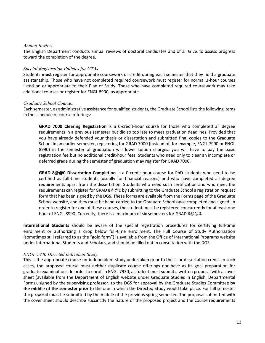### *Annual Review*

The English Department conducts annual reviews of doctoral candidates and of all GTAs to assess progress toward the completion of the degree.

## *Special Registration Policies for GTAs*

Students **must** register for appropriate coursework or credit during each semester that they hold a graduate assistantship. Those who have not completed required coursework must register for normal 3-hour courses listed on or appropriate to their Plan of Study. Those who have completed required coursework may take additional courses or register for ENGL 8990, as appropriate.

## *Graduate School Courses*

Each semester, as administrative assistance for qualified students, the Graduate School liststhe following items in the schedule of course offerings:

**GRAD 7000 Clearing Registration** is a 0-credit-hour course for those who completed all degree requirements in a previous semester but did so too late to meet graduation deadlines. Provided that you have already defended your thesis or dissertation and submitted final copies to the Graduate School in an earlier semester, registering for GRAD 7000 (instead of, for example, ENGL 7990 or ENGL 8990) in the semester of graduation will lower tuition charges: you will have to pay the basic registration fee but no additional credit-hour fees. Students who need only to clear an incomplete or deferred grade during the semester of graduation may register for GRAD 7000.

**GRAD 8@@0 Dissertation Completion** is a 0-credit-hour course for PhD students who need to be certified as full-time students (usually for financial reasons) and who have completed all degree requirements apart from the dissertation. Students who need such certification and who meet the requirements can register for GRAD 8@@0 by submitting to the Graduate School a registration request form that has been signed by the DGS. These forms are available from the Forms page of the Graduate School website, and they must be hand-carried to the Graduate School once completed and signed. In order to register for one of these courses, the student must be registered concurrently for at least one hour of ENGL 8990. Currently, there is a maximum of six semesters for GRAD 8@@0.

**International Students** should be aware of the special registration procedures for certifying full-time enrollment or authorizing a drop below full-time enrollment. The Full Course of Study Authorization (sometimes still referred to as the "gold form") is available from the Office of International Programs website under International Students and Scholars, and should be filled out in consultation with the DGS.

## *ENGL 7930 Directed Individual Study*

This is the appropriate course for independent study undertaken prior to thesis or dissertation credit. In such cases, the proposed course must neither duplicate course offerings nor have as its goal preparation for graduate examinations. In order to enroll in ENGL 7930, a student must submit a written proposal with a cover sheet (available from the Department of English website under Graduate Studies in English, Departmental Forms), signed by the supervising professor, to the DGS for approval by the Graduate Studies Committee **by the middle of the semester prior** to the one in which the Directed Study would take place. For fall semester the proposal must be submitted by the middle of the previous spring semester. The proposal submitted with the cover sheet should describe succinctly the nature of the proposed project and the course requirements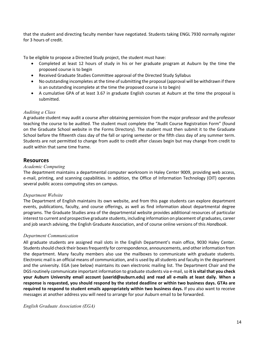that the student and directing faculty member have negotiated. Students taking ENGL 7930 normally register for 3 hours of credit.

To be eligible to propose a Directed Study project, the student must have:

- Completed at least 12 hours of study in his or her graduate program at Auburn by the time the proposed course is to begin
- Received Graduate Studies Committee approval of the Directed Study Syllabus
- No outstanding incompletes at the time of submitting the proposal (approval will be withdrawn if there is an outstanding incomplete at the time the proposed course is to begin)
- A cumulative GPA of at least 3.67 in graduate English courses at Auburn at the time the proposal is submitted.

## *Auditing a Class*

A graduate student may audit a course after obtaining permission from the major professor and the professor teaching the course to be audited. The student must complete the "Audit Course Registration Form" (found on the Graduate School website in the Forms Directory). The student must then submit it to the Graduate School before the fifteenth class day of the fall or spring semester or the fifth class day of any summer term. Students are not permitted to change from audit to credit after classes begin but may change from credit to audit within that same time frame.

## **Resources**

## *Academic Computing*

The department maintains a departmental computer workroom in Haley Center 9009, providing web access, e-mail, printing, and scanning capabilities. In addition, the Office of Information Technology (OIT) operates several public access computing sites on campus.

## *Department Website*

The Department of English maintains its own website, and from this page students can explore department events, publications, faculty, and course offerings, as well as find information about departmental degree programs. The Graduate Studies area of the departmental website provides additional resources of particular interest to current and prospective graduate students, including information on placement of graduates, career and job search advising, the English Graduate Association, and of course online versions of this *Handbook*.

## *Department Communication*

All graduate students are assigned mail slots in the English Department's main office, 9030 Haley Center. Students should check their boxesfrequently for correspondence, announcements, and other information from the department. Many faculty members also use the mailboxes to communicate with graduate students. Electronic mail is an official means of communication, and is used by all students and faculty in the department and the university. EGA (see below) maintains its own electronic mailing list. The Department Chair and the DGS routinely communicate important information to graduate students via e-mail,so **it is vital that you check your Auburn University email account (userid@auburn.edu) and read all e-mails at least daily. When a response is requested, you should respond by the stated deadline or within two business days. GTAs are required to respond to student emails appropriately within two business days.** If you also want to receive messages at another address you will need to arrange for your Auburn email to be forwarded.

*English Graduate Association (EGA)*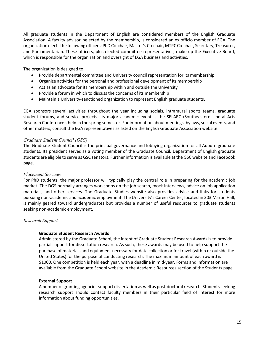All graduate students in the Department of English are considered members of the English Graduate Association. A faculty advisor, selected by the membership, is considered an ex officio member of EGA. The organization elects the following officers: PhD Co-chair, Master's Co-chair, MTPC Co-chair, Secretary, Treasurer, and Parliamentarian. These officers, plus elected committee representatives, make up the Executive Board, which is responsible for the organization and oversight of EGA business and activities.

The organization is designed to:

- Provide departmental committee and University council representation for its membership
- Organize activities for the personal and professional development of its membership
- Act as an advocate for its membership within and outside the University
- Provide a forum in which to discuss the concerns of its membership
- Maintain a University-sanctioned organization to represent English graduate students.

EGA sponsors several activities throughout the year including socials, intramural sports teams, graduate student forums, and service projects. Its major academic event is the SELARC (Southeastern Liberal Arts Research Conference), held in the spring semester. For information about meetings, bylaws, social events, and other matters, consult the EGA representatives as listed on the English Graduate Association website.

#### *Graduate Student Council (GSC)*

The Graduate Student Council is the principal governance and lobbying organization for all Auburn graduate students. Its president serves as a voting member of the Graduate Council. Department of English graduate students are eligible to serve as GSC senators. Further information is available at the GSC website and Facebook page.

#### *Placement Services*

For PhD students, the major professor will typically play the central role in preparing for the academic job market. The DGS normally arranges workshops on the job search, mock interviews, advice on job application materials, and other services. The Graduate Studies website also provides advice and links for students pursuing non-academic and academic employment. The University's Career Center, located in 303 Martin Hall, is mainly geared toward undergraduates but provides a number of useful resources to graduate students seeking non-academic employment.

#### *Research Support*

#### **Graduate Student Research Awards**

Administered by the Graduate School, the intent of Graduate Student Research Awards is to provide partial support for dissertation research. As such, these awards may be used to help support the purchase of materials and equipment necessary for data collection or for travel (within or outside the United States) for the purpose of conducting research. The maximum amount of each award is \$1000. One competition is held each year, with a deadline in mid-year. Forms and information are available from the Graduate School website in the Academic Resources section of the Students page.

#### **External Support**

A number of granting agencies support dissertation as well as post-doctoral research. Students seeking research support should contact faculty members in their particular field of interest for more information about funding opportunities.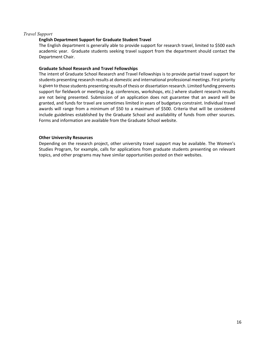## *Travel Support*

## **English Department Support for Graduate Student Travel**

The English department is generally able to provide support for research travel, limited to \$500 each academic year. Graduate students seeking travel support from the department should contact the Department Chair.

### **Graduate School Research and Travel Fellowships**

The intent of Graduate School Research and Travel Fellowships is to provide partial travel support for students presenting research results at domestic and international professional meetings. First priority is given to those students presenting results of thesis or dissertation research. Limited funding prevents support for fieldwork or meetings (e.g. conferences, workshops, etc.) where student research results are not being presented. Submission of an application does not guarantee that an award will be granted, and funds for travel are sometimes limited in years of budgetary constraint. Individual travel awards will range from a minimum of \$50 to a maximum of \$500. Criteria that will be considered include guidelines established by the Graduate School and availability of funds from other sources. Forms and information are available from the Graduate School website.

## **Other University Resources**

Depending on the research project, other university travel support may be available. The Women's Studies Program, for example, calls for applications from graduate students presenting on relevant topics, and other programs may have similar opportunities posted on their websites.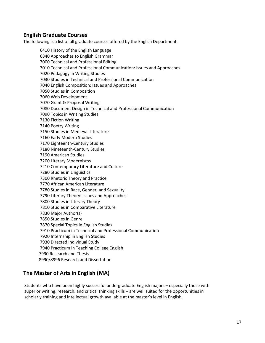## **English Graduate Courses**

The following is a list of all graduate courses offered by the English Department.

6410 History of the English Language 6840 Approaches to English Grammar 7000 Technical and Professional Editing 7010 Technical and Professional Communication: Issues and Approaches 7020 Pedagogy in Writing Studies 7030 Studies in Technical and Professional Communication 7040 English Composition: Issues and Approaches 7050 Studies in Composition 7060 Web Development 7070 Grant & Proposal Writing 7080 Document Design in Technical and Professional Communication 7090 Topics in Writing Studies 7130 Fiction Writing 7140 Poetry Writing 7150 Studies in Medieval Literature 7160 Early Modern Studies 7170 Eighteenth-Century Studies 7180 Nineteenth-Century Studies 7190 American Studies 7200 Literary Modernisms 7210 Contemporary Literature and Culture 7280 Studies in Linguistics 7300 Rhetoric Theory and Practice 7770 African American Literature 7780 Studies in Race, Gender, and Sexuality 7790 Literary Theory: Issues and Approaches 7800 Studies in Literary Theory 7810 Studies in Comparative Literature 7830 Major Author(s) 7850 Studies in Genre 7870 Special Topics in English Studies 7910 Practicum in Technical and Professional Communication 7920 Internship in English Studies 7930 Directed Individual Study 7940 Practicum in Teaching College English 7990 Research and Thesis 8990/8996 Research and Dissertation

## **The Master of Arts in English (MA)**

Students who have been highly successful undergraduate English majors – especially those with superior writing, research, and critical thinking skills – are well suited for the opportunities in scholarly training and intellectual growth available at the master's level in English.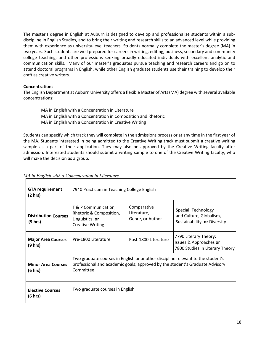The master's degree in English at Auburn is designed to develop and professionalize students within a subdiscipline in English Studies, and to bring their writing and research skills to an advanced level while providing them with experience as university-level teachers. Students normally complete the master's degree (MA) in two years. Such students are well prepared for careers in writing, editing, business, secondary and community college teaching, and other professions seeking broadly educated individuals with excellent analytic and communication skills. Many of our master's graduates pursue teaching and research careers and go on to attend doctoral programs in English, while other English graduate students use their training to develop their craft as creative writers.

## **Concentrations**

The English Department at Auburn University offers a flexible Master of Arts(MA) degree with several available concentrations:

- MA in English with a Concentration in Literature
- MA in English with a Concentration in Composition and Rhetoric
- MA in English with a Concentration in Creative Writing

Students can specify which track they will complete in the admissions process or at any time in the first year of the MA. Students interested in being admitted to the Creative Writing track must submit a creative writing sample as a part of their application. They may also be approved by the Creative Writing faculty after admission. Interested students should submit a writing sample to one of the Creative Writing faculty, who will make the decision as a group.

| <b>GTA requirement</b><br>$(2 \text{ hrs})$ | 7940 Practicum in Teaching College English                                                                                                                                   |                                                |                                                                                    |
|---------------------------------------------|------------------------------------------------------------------------------------------------------------------------------------------------------------------------------|------------------------------------------------|------------------------------------------------------------------------------------|
| <b>Distribution Courses</b><br>(9 hrs)      | T & P Communication,<br>Rhetoric & Composition,<br>Linguistics, or<br><b>Creative Writing</b>                                                                                | Comparative<br>Literature,<br>Genre, or Author | Special: Technology<br>and Culture, Globalism,<br>Sustainability, or Diversity     |
| <b>Major Area Courses</b><br>(9 hrs)        | Pre-1800 Literature                                                                                                                                                          | Post-1800 Literature                           | 7790 Literary Theory:<br>Issues & Approaches or<br>7800 Studies in Literary Theory |
| <b>Minor Area Courses</b><br>(6 hrs)        | Two graduate courses in English or another discipline relevant to the student's<br>professional and academic goals; approved by the student's Graduate Advisory<br>Committee |                                                |                                                                                    |
| <b>Elective Courses</b><br>(6 hrs)          | Two graduate courses in English                                                                                                                                              |                                                |                                                                                    |

## *MA in English with a Concentration in Literature*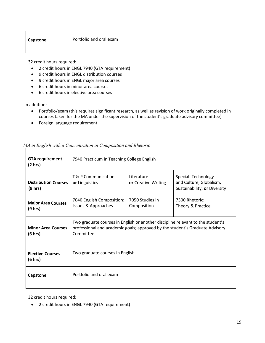| Capstone |
|----------|
|----------|

32 credit hours required:

- 2 credit hours in ENGL 7940 (GTA requirement)
- 9 credit hours in ENGL distribution courses
- 9 credit hours in ENGL major area courses
- 6 credit hours in minor area courses
- 6 credit hours in elective area courses

In addition:

- Portfolio/exam (this requires significant research, as well as revision of work originally completed in courses taken for the MA under the supervision of the student's graduate advisory committee)
- Foreign language requirement

| <b>GTA requirement</b><br>(2 hr)       | 7940 Practicum in Teaching College English                                                                                                                                   |                                   |                                                                                |
|----------------------------------------|------------------------------------------------------------------------------------------------------------------------------------------------------------------------------|-----------------------------------|--------------------------------------------------------------------------------|
| <b>Distribution Courses</b><br>(9 hrs) | T & P Communication<br>or Linguistics                                                                                                                                        | Literature<br>or Creative Writing | Special: Technology<br>and Culture, Globalism,<br>Sustainability, or Diversity |
| <b>Major Area Courses</b><br>(9 hrs)   | 7040 English Composition:<br><b>Issues &amp; Approaches</b>                                                                                                                  | 7050 Studies in<br>Composition    | 7300 Rhetoric:<br>Theory & Practice                                            |
| <b>Minor Area Courses</b><br>(6 hrs)   | Two graduate courses in English or another discipline relevant to the student's<br>professional and academic goals; approved by the student's Graduate Advisory<br>Committee |                                   |                                                                                |
| <b>Elective Courses</b><br>(6 hrs)     | Two graduate courses in English                                                                                                                                              |                                   |                                                                                |
| Capstone                               | Portfolio and oral exam                                                                                                                                                      |                                   |                                                                                |

## *MA in English with a Concentration in Composition and Rhetoric*

32 credit hours required:

• 2 credit hours in ENGL 7940 (GTA requirement)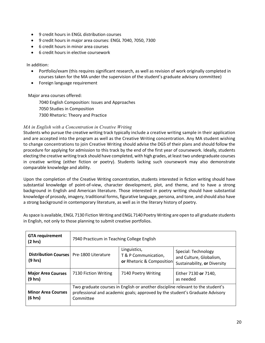- 9 credit hours in ENGL distribution courses
- 9 credit hours in major area courses: ENGL 7040, 7050, 7300
- 6 credit hours in minor area courses
- 6 credit hours in elective coursework

## In addition:

- Portfolio/exam (this requires significant research, as well as revision of work originally completed in courses taken for the MA under the supervision of the student's graduate advisory committee)
- Foreign language requirement

Major area courses offered:

7040 English Composition: Issues and Approaches 7050 Studies in Composition 7300 Rhetoric: Theory and Practice

## *MA in English with a Concentration in Creative Writing*

Students who pursue the creative writing track typically include a creative writing sample in their application and are accepted into the program as well as the Creative Writing concentration. Any MA student wishing to change concentrations to join Creative Writing should advise the DGS of their plans and should follow the procedure for applying for admission to this track by the end of the first year of coursework. Ideally, students electing the creative writing track should have completed, with high grades, atleast two undergraduate courses in creative writing (either fiction or poetry). Students lacking such coursework may also demonstrate comparable knowledge and ability.

Upon the completion of the Creative Writing concentration, students interested in fiction writing should have substantial knowledge of point-of-view, character development, plot, and theme, and to have a strong background in English and American literature. Those interested in poetry writing should have substantial knowledge of prosody, imagery, traditional forms, figurative language, persona, and tone, and should also have a strong background in contemporary literature, as well as in the literary history of poetry.

As space is available, ENGL 7130 Fiction Writing and ENGL 7140 Poetry Writing are open to all graduate students in English, not only to those planning to submit creative portfolios.

| <b>GTA requirement</b><br>(2 hr)                      | 7940 Practicum in Teaching College English                                                                                                                                   |                                                                   |                                                                                |
|-------------------------------------------------------|------------------------------------------------------------------------------------------------------------------------------------------------------------------------------|-------------------------------------------------------------------|--------------------------------------------------------------------------------|
| Distribution Courses   Pre-1800 Literature<br>(9 hrs) |                                                                                                                                                                              | Linguistics,<br>T & P Communication,<br>or Rhetoric & Composition | Special: Technology<br>and Culture, Globalism,<br>Sustainability, or Diversity |
| <b>Major Area Courses</b><br>(9 hrs)                  | 7130 Fiction Writing                                                                                                                                                         | 7140 Poetry Writing                                               | Either 7130 or 7140,<br>as needed                                              |
| <b>Minor Area Courses</b><br>(6 hrs)                  | Two graduate courses in English or another discipline relevant to the student's<br>professional and academic goals; approved by the student's Graduate Advisory<br>Committee |                                                                   |                                                                                |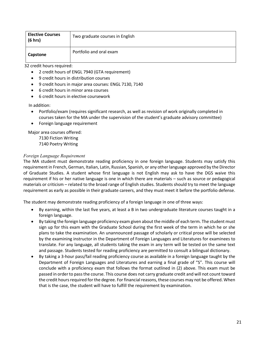| <b>Elective Courses</b><br>(6 hrs) | Two graduate courses in English |
|------------------------------------|---------------------------------|
| Capstone                           | Portfolio and oral exam         |

32 credit hours required:

- 2 credit hours of ENGL 7940 (GTA requirement)
- 9 credit hours in distribution courses
- 9 credit hours in major area courses: ENGL 7130, 7140
- 6 credit hours in minor area courses
- 6 credit hours in elective coursework

In addition:

- Portfolio/exam (requires significant research, as well as revision of work originally completed in courses taken for the MA under the supervision of the student's graduate advisory committee)
- Foreign language requirement

Major area courses offered:

7130 Fiction Writing 7140 Poetry Writing

## *Foreign Language Requirement*

The MA student must demonstrate reading proficiency in one foreign language. Students may satisfy this requirement in French, German, Italian, Latin, Russian, Spanish, or any other language approved by the Director of Graduate Studies. A student whose first language is not English may ask to have the DGS waive this requirement if his or her native language is one in which there are materials – such as source or pedagogical materials or criticism – related to the broad range of English studies. Students should try to meet the language requirement as early as possible in their graduate careers, and they must meet it before the portfolio defense.

The student may demonstrate reading proficiency of a foreign language in one of three ways:

- By earning, within the last five years, at least a B in two undergraduate literature courses taught in a foreign language.
- By taking the foreign language proficiency exam given about the middle of each term. The student must sign up for this exam with the Graduate School during the first week of the term in which he or she plans to take the examination. An unannounced passage of scholarly or critical prose will be selected by the examining instructor in the Department of Foreign Languages and Literatures for examinees to translate. For any language, all students taking the exam in any term will be tested on the same text and passage. Students tested for reading proficiency are permitted to consult a bilingual dictionary.
- By taking a 3-hour pass/fail reading proficiency course as available in a foreign language taught by the Department of Foreign Languages and Literatures and earning a final grade of "S". This course will conclude with a proficiency exam that follows the format outlined in (2) above. This exam must be passed in order to pass the course. This course does not carry graduate credit and will not count toward the credit hours required forthe degree. For financial reasons, these courses may not be offered. When that is the case, the student will have to fulfill the requirement by examination.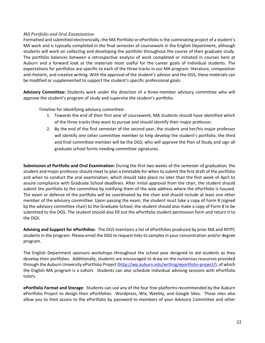## *MA Portfolio and Oral Examination*

Formatted and submitted electronically, the MA Portfolio or ePortfolio is the culminating project of a student's MA work and is typically completed in the final semester of coursework in the English Department, although students will work on collecting and developing the portfolio throughout the course of their graduate study. The portfolio balances between a retrospective analysis of work completed or initiated in courses here at Auburn and a forward look at the materials most useful for the career goals of individual students. The expectations for portfolios are specific to each of the three tracks in our MA program: literature, composition and rhetoric, and creative writing. With the approval of the student's advisor and the DGS, these materials can be modified or supplemented to support the student's specific professional goals.

**Advisory Committee:** Students work under the direction of a three-member advisory committee who will approve the student's program of study and supervise the student's portfolio.

Timeline for identifying advisory committee:

- 1. Towards the end of their first year of coursework, MA students should have identified which of the three tracks they want to pursue and should identify their major professor.
- 2. By the end of the first semester of the second year, the student and her/his major professor will identify one other committee member to help develop the student's portfolio; the third and final committee member will be the DGS, who will approve the Plan of Study and sign all graduate school forms needing committee signatures.

**Submission of Portfolio and Oral Examination:** During the first two weeks of the semester of graduation, the student and major professor should meet to plan a timetable for when to submit the first draft of the portfolio and when to conduct the oral examination, which should take place no later than the first week of April to assure compliance with Graduate School deadlines. After initial approval from the chair, the student should submit the portfolio to the committee by notifying them of the web address where the ePortfolio is housed. The exam or defense of the portfolio will be coordinated by the chair and should include at least one other member of the advisory committee. Upon passing the exam, the student must take a copy of Form 8 (signed by the advisory committee chair) to the Graduate School; the student should also make a copy of Form 8 to be submitted to the DGS. The student should also fill out the ePortfolio student permission form and return it to the DGS.

**Advising and Support for ePortfolios**: The DGS maintains a list of ePortfolios produced by prior MA and MTPC students in the program. Please email the DGS to request links to samples in your concentration and/or degree program.

The English Department sponsors workshops throughout the school year designed to aid students as they develop their portfolios. Additionally, students are encouraged to draw on the numerous resources provided through the Auburn University ePortfolio Project (http://wp.auburn.edu/writing/eportfolio-project/), of which the English MA program is a cohort. Students can also schedule individual advising sessions with ePortfolio tutors.

**ePortfolio Format and Storage**: Students can use any of the four free platforms recommended by the Auburn ePortfolio Project to design their ePortfolios: Wordpress, Wix, Weebly, and Google Sites. These sites also allow you to limit access to the ePortfolio by password to members of your Advisory Committee and other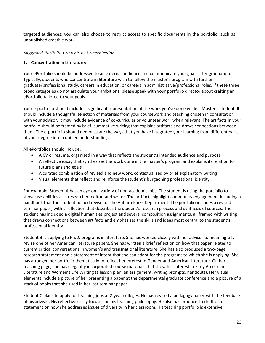targeted audiences; you can also choose to restrict access to specific documents in the portfolio, such as unpublished creative work.

## *Suggested Portfolio Contents by Concentration*

## **1. Concentration in Literature:**

Your ePortfolio should be addressed to an external audience and communicate your goals after graduation. Typically, students who concentrate in literature wish to follow the master's program with further graduate/professional study, careers in education, or careers in administrative/professional roles. If these three broad categories do not articulate your ambitions, please speak with your portfolio director about crafting an ePortfolio tailored to your goals.

Your e-portfolio should include a significant representation of the work you've done while a Master's student. It should include a thoughtful selection of materials from your coursework and teaching chosen in consultation with your advisor. It may include evidence of co-curricular or volunteer work when relevant. The artifacts in your portfolio should be framed by brief, summative writing that explains artifacts and draws connections between them. The e-portfolio should demonstrate the ways that you have integrated your learning from different parts of your degree into a unified understanding.

All ePortfolios should include:

- A CV or resume, organized in a way that reflects the student's intended audience and purpose
- A reflective essay that synthesizes the work done in the master's program and explains its relation to future plans and goals
- A curated combination of revised and new work, contextualized by brief explanatory writing
- Visual elements that reflect and reinforce the student's burgeoning professional identity

For example, Student A has an eye on a variety of non-academic jobs. The student is using the portfolio to showcase abilities as a researcher, editor, and writer. The artifacts highlight community engagement, including a handbook that the student helped revise for the Auburn Parks Department. The portfolio includes a revised seminar paper, with a reflection that describes the student's research process and synthesis of sources. The student has included a digital humanities project and several composition assignments, all framed with writing that draws connections between artifacts and emphasizes the skills and ideas most central to the student's professional identity.

Student B is applying to Ph.D. programs in literature. She has worked closely with her advisor to meaningfully revise one of her American literature papers. She has written a brief reflection on how that paper relates to current critical conversations in women's and transnational literature. She has also produced a two-page research statement and a statement of intent that she can adapt for the programs to which she is applying. She has arranged her portfolio thematically to reflect her interest in Gender and American Literature. On her teaching page, she has elegantly incorporated course materials that show her interest in Early American Literature and Women's Life Writing (a lesson plan, an assignment, writing prompts, handouts). Her visual elements include a picture of her presenting a paper at the departmental graduate conference and a picture of a stack of books that she used in her last seminar paper.

Student C plans to apply for teaching jobs at 2-year colleges. He has revised a pedagogy paper with the feedback of his adviser. His reflective essay focuses on his teaching philosophy. He also has produced a draft of a statement on how she addresses issues of diversity in her classroom. His teaching portfolio is extensive,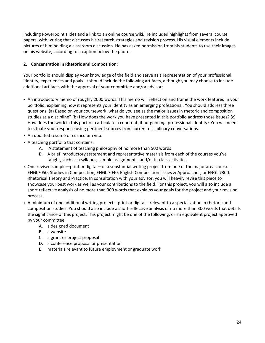including Powerpoint slides and a link to an online course wiki. He included highlights from several course papers, with writing that discusses his research strategies and revision process. His visual elements include pictures of him holding a classroom discussion. He has asked permission from his students to use their images on his website, according to a caption below the photo.

## **2. Concentration in Rhetoric and Composition:**

Your portfolio should display your knowledge of the field and serve as a representation of your professional identity, experiences and goals. It should include the following artifacts, although you may choose to include additional artifacts with the approval of your committee and/or advisor:

- An introductory memo of roughly 2000 words. This memo will reflect on and frame the work featured in your portfolio, explaining how it represents your identity as an emerging professional. You should address three questions: (a) Based on your coursework, what do you see as the major issues in rhetoric and composition studies as a discipline? (b) How does the work you have presented in this portfolio address those issues? (c) How does the work in this portfolio articulate a coherent, if burgeoning, professional identity? You will need to situate your response using pertinent sources from current disciplinary conversations.
- An updated résumé or curriculum vita.
- A teaching portfolio that contains:
	- A. A statement of teaching philosophy of no more than 500 words
	- B. A brief introductory statement and representative materials from each of the courses you've taught, such as a syllabus, sample assignments, and/or in-class activities.
- One revised sample—print or digital—of a substantial writing project from one of the major area courses: ENGL7050: Studies in Composition, ENGL 7040: English Composition Issues & Approaches, or ENGL 7300: Rhetorical Theory and Practice. In consultation with your advisor, you will heavily revise this piece to showcase your best work as well as your contributions to the field. For this project, you will also include a short reflective analysis of no more than 300 words that explains your goals for the project and your revision process.
- A minimum of one additional writing project—print or digital—relevant to a specialization in rhetoric and composition studies. You should also include a short reflective analysis of no more than 300 words that details the significance of this project. This project might be one of the following, or an equivalent project approved by your committee:
	- A. a designed document
	- B. a website
	- C. a grant or project proposal
	- D. a conference proposal or presentation
	- E. materials relevant to future employment or graduate work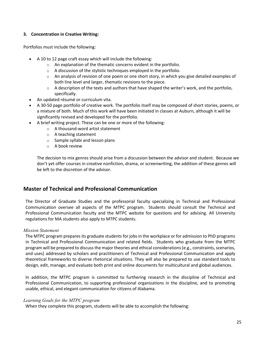## **3. Concentration in Creative Writing:**

Portfolios must include the following:

- A 10 to 12 page craft essay which will include the following:
	- o An explanation of the thematic concerns evident in the portfolio.
	- $\circ$  A discussion of the stylistic techniques employed in the portfolio.
	- $\circ$  An analysis of revision of one poem or one short story, in which you give detailed examples of both line level and larger, thematic revisions to the piece.
	- $\circ$  A description of the texts and authors that have shaped the writer's work, and the portfolio, specifically.
- An updated résumé or curriculum vita.
- A 30-50 page portfolio of creative work. The portfolio itself may be composed of short stories, poems, or a mixture of both. Much of this work will have been initiated in classes at Auburn, although it will be significantly revised and developed for the portfolio.
- A brief writing project. These can be one or more of the following:
	- o A thousand-word artist statement
	- o A teaching statement
	- o Sample syllabi and lesson plans
	- o A book review

The decision to mix genres should arise from a discussion between the advisor and student. Because we don't yet offer courses in creative nonfiction, drama, or screenwriting, the addition of these genres will be left to the discretion of the advisor.

## **Master of Technical and Professional Communication**

The Director of Graduate Studies and the professorial faculty specializing in Technical and Professional Communication oversee all aspects of the MTPC program. Students should consult the Technical and Professional Communication faculty and the MTPC website for questions and for advising. All University regulations for MA students also apply to MTPC students.

## *Mission Statement*

The MTPC program prepares its graduate students for jobs in the workplace or for admission to PhD programs in Technical and Professional Communication and related fields. Students who graduate from the MTPC program will be prepared to discussthe major theories and ethical considerations(e.g., constraints, scenarios, and uses) addressed by scholars and practitioners of Technical and Professional Communication and apply theoretical frameworks to diverse rhetorical situations. They will also be prepared to use standard tools to design, edit, manage, and evaluate both print and online documents for multicultural and global audiences.

In addition, the MTPC program is committed to furthering research in the discipline of Technical and Professional Communication, to supporting professional organizations in the discipline, and to promoting usable, ethical, and elegant communication for citizens of Alabama.

## *Learning Goals for the MTPC program*

When they complete this program, students will be able to accomplish the following: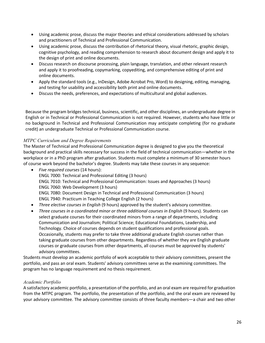- Using academic prose, discuss the major theories and ethical considerations addressed by scholars and practitioners of Technical and Professional Communication.
- Using academic prose, discuss the contribution of rhetorical theory, visual rhetoric, graphic design, cognitive psychology, and reading comprehension to research about document design and apply it to the design of print and online documents.
- Discuss research on discourse processing, plain language, translation, and other relevant research and apply it to proofreading, copymarking, copyediting, and comprehensive editing of print and online documents.
- Apply the standard tools (e.g., InDesign, Adobe Acrobat Pro, Word) to designing, editing, managing, and testing for usability and accessibility both print and online documents.
- Discuss the needs, preferences, and expectations of multicultural and global audiences.

Because the program bridges technical, business, scientific, and other disciplines, an undergraduate degree in English or in Technical or Professional Communication is not required. However, students who have little or no background in Technical and Professional Communication may anticipate completing (for no graduate credit) an undergraduate Technical or Professional Communication course.

## *MTPC Curriculum and Degree Requirements*

The Master of Technical and Professional Communication degree is designed to give you the theoretical background and practical skills necessary for success in the field of technical communication—whether in the workplace or in a PhD program after graduation. Students must complete a minimum of 30 semester hours of course work beyond the bachelor's degree. Students may take these courses in any sequence:

- *Five required courses* (14 hours): ENGL 7000: Technical and Professional Editing (3 hours) ENGL 7010: Technical and Professional Communication: Issues and Approaches (3 hours) ENGL 7060: Web Development (3 hours) ENGL 7080: Document Design in Technical and Professional Communication (3 hours) ENGL 7940: Practicum in Teaching College English (2 hours)
- *Three elective courses in English* (9 hours) approved by the student's advisory committee.
- *Three courses in a coordinated minor or three additional courses in English* (9 hours). Students can select graduate courses for their coordinated minors from a range of departments, including Communication and Journalism; Political Science; Educational Foundations, Leadership, and Technology. Choice of courses depends on student qualifications and professional goals. Occasionally, students may prefer to take three additional graduate English courses rather than taking graduate courses from other departments. Regardless of whether they are English graduate courses or graduate courses from other departments, all courses must be approved by students' advisory committees.

Students must develop an academic portfolio of work acceptable to their advisory committees, present the portfolio, and pass an oral exam. Students' advisory committees serve as the examining committees. The program has no language requirement and no thesis requirement.

## *Academic Portfolio*

A satisfactory academic portfolio, a presentation of the portfolio, and an oral exam are required for graduation from the MTPC program. The portfolio, the presentation of the portfolio, and the oral exam are reviewed by your advisory committee. The advisory committee consists of three faculty members—a chair and two other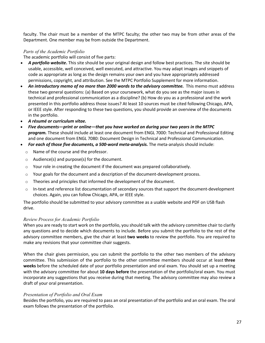faculty. The chair must be a member of the MTPC faculty; the other two may be from other areas of the Department. One member may be from outside the Department.

## *Parts of the Academic Portfolio*

The academic portfolio will consist of five parts:

- *A portfolio website***.** This site should be your original design and follow best practices. The site should be usable, accessible, well conceived, well executed, and attractive. You may adapt images and snippets of code as appropriate as long as the design remains your own and you have appropriately addressed permissions, copyright, and attribution. See the MTPC Portfolio Supplement for more information.
- *An introductory memo of no more than 2000 words to the advisory committee.* This memo must address these two general questions: (a) Based on your coursework, what do you see as the major issues in technical and professional communication as a discipline? (b) How do you as a professional and the work presented in this portfolio address those issues? At least 10 sources must be cited following Chicago, APA, or IEEE style. After responding to these two questions, you should provide an overview of the documents in the portfolio.
- *A résumé or curriculum vitae.*
- *Five documents—print or online—that you have worked on during your two years in the MTPC program.* These should include at least one document from ENGL 7000: Technical and Professional Editing and one document from ENGL 7080: Document Design in Technical and Professional Communication.
- *For each of those five documents, a 500-word meta-analysis.* The meta-analysis should include:
	- o Name of the course and the professor.
	- o Audience(s) and purpose(s) for the document.
	- $\circ$  Your role in creating the document if the document was prepared collaboratively.
	- $\circ$  Your goals for the document and a description of the document-development process.
	- $\circ$  Theories and principles that informed the development of the document.
	- $\circ$  In-text and reference list documentation of secondary sources that support the document-development choices. Again, you can follow Chicago, APA, or IEEE style.

The portfolio should be submitted to your advisory committee as a usable website and PDF on USB flash drive.

## *Review Process for Academic Portfolio*

When you are ready to start work on the portfolio, you should talk with the advisory committee chair to clarify any questions and to decide which documents to include. Before you submit the portfolio to the rest of the advisory committee members, give the chair at least **two weeks** to review the portfolio. You are required to make any revisions that your committee chair suggests.

When the chair gives permission, you can submit the portfolio to the other two members of the advisory committee. This submission of the portfolio to the other committee members should occur at least **three weeks** before the scheduled date of your portfolio presentation and oral exam. You should set up a meeting with the advisory committee for about **10 days before** the presentation of the portfolio/oral exam. You must incorporate any suggestions that you receive during that meeting. The advisory committee may also review a draft of your oral presentation.

## *Presentation of Portfolio and Oral Exam*

Besides the portfolio, you are required to pass an oral presentation of the portfolio and an oral exam. The oral exam follows the presentation of the portfolio.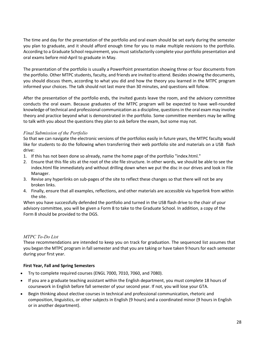The time and day for the presentation of the portfolio and oral exam should be set early during the semester you plan to graduate, and it should afford enough time for you to make multiple revisions to the portfolio. According to a Graduate School requirement, you must satisfactorily complete your portfolio presentation and oral exams before mid-April to graduate in May.

The presentation of the portfolio is usually a PowerPoint presentation showing three or four documents from the portfolio. Other MTPC students, faculty, and friends are invited to attend. Besides showing the documents, you should discuss them, according to what you did and how the theory you learned in the MTPC program informed your choices. The talk should not last more than 30 minutes, and questions will follow.

After the presentation of the portfolio ends, the invited guests leave the room, and the advisory committee conducts the oral exam. Because graduates of the MTPC program will be expected to have well-rounded knowledge of technical and professional communication as a discipline, questions in the oral exam may involve theory and practice beyond what is demonstrated in the portfolio. Some committee members may be willing to talk with you about the questions they plan to ask before the exam, but some may not.

## *Final Submission of the Portfolio*

So that we can navigate the electronic versions of the portfolios easily in future years, the MTPC faculty would like for students to do the following when transferring their web portfolio site and materials on a USB flash drive:

- 1. If this has not been done so already, name the home page of the portfolio "index.html."
- 2. Ensure that this file sits at the root of the site file structure. In other words, we should be able to see the index.html file immediately and without drilling down when we put the disc in our drives and look in File Manager.
- 3. Revise any hyperlinks on sub-pages of the site to reflect these changes so that there will not be any broken links.
- 4. Finally, ensure that all examples, reflections, and other materials are accessible via hyperlink from within the site.

When you have successfully defended the portfolio and turned in the USB flash drive to the chair of your advisory committee, you will be given a Form 8 to take to the Graduate School. In addition, a copy of the Form 8 should be provided to the DGS.

## *MTPC To-Do List*

These recommendations are intended to keep you on track for graduation. The sequenced list assumes that you began the MTPC program in fall semester and that you are taking or have taken 9 hours for each semester during your first year.

## **First Year, Fall and Spring Semesters**

- Try to complete required courses (ENGL 7000, 7010, 7060, and 7080).
- If you are a graduate teaching assistant within the English department, you must complete 18 hours of coursework in English before fall semester of your second year. If not, you will lose your GTA.
- Begin thinking about elective courses in technical and professional communication, rhetoric and composition, linguistics, or other subjects in English (9 hours) and a coordinated minor (9 hours in English or in another department).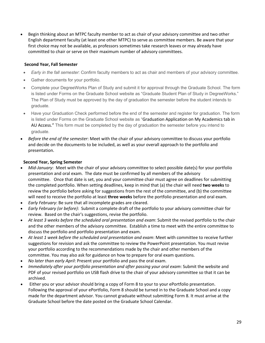• Begin thinking about an MTPC faculty member to act as chair of your advisory committee and two other English department faculty (at least one other MTPC) to serve as committee members. Be aware that your first choice may not be available, as professors sometimes take research leaves or may already have committed to chair or serve on their maximum number of advisory committees.

## **Second Year, Fall Semester**

- *Early in the fall semester*: Confirm faculty members to act as chair and members of your advisory committee.
- Gather documents for your portfolio.
- Complete your DegreeWorks Plan of Study and submit it for approval through the Graduate School. The form is listed under Forms on the Graduate School website as "Graduate Student Plan of Study in DegreeWorks." The Plan of Study must be approved by the day of graduation the semester before the student intends to graduate.
- Have your Graduation Check performed before the end of the semester and register for graduation. The form is listed under Forms on the Graduate School website as "Graduation Application on My Academics tab in AU Access." This form must be completed by the day of graduation the semester before you intend to graduate.
- *Before the end of the semester*: Meet with the chair of your advisory committee to discuss your portfolio and decide on the documents to be included, as well as your overall approach to the portfolio and presentation.

## **Second Year, Spring Semester**

- *Mid-January*: Meet with the chair of your advisory committee to select possible date(s) for your portfolio presentation and oral exam. The date must be confirmed by all members of the advisory committee. Once that date is set, you and your committee chair must agree on deadlines for submitting the completed portfolio. When setting deadlines, keep in mind that (a) the chair will need **two weeks** to review the portfolio before asking for suggestions from the rest of the committee, and (b) the committee will need to receive the portfolio at least **three weeks** before the portfolio presentation and oral exam.
- *Early February*: Be sure that all incomplete grades are cleared.
- *Early February (or before)*: Submit a complete draft of the portfolio to your advisory committee chair for review. Based on the chair's suggestions, revise the portfolio.
- *At least 3 weeks before the scheduled oral presentation and exam*: Submit the revised portfolio to the chair and the other members of the advisory committee. Establish a time to meet with the entire committee to discuss the portfolio and portfolio presentation and exam.
- *At least 1 week before the scheduled oral presentation and exam*: Meet with committee to receive further suggestions for revision and ask the committee to review the PowerPoint presentation. You must revise your portfolio according to the recommendations made by the chair and other members of the committee. You may also ask for guidance on how to prepare for oral exam questions.
- *No later than early April*: Present your portfolio and pass the oral exam.
- *Immediately after your portfolio presentation and after passing your oral exam*: Submit the website and PDF of your revised portfolio on USB flash drive to the chair of your advisory committee so that it can be archived.
- Either you or your advisor should bring a copy of Form 8 to your to your ePortfolio presentation. Following the approval of your ePortfolio, Form 8 should be turned in to the Graduate School and a copy made for the department advisor. You cannot graduate without submitting Form 8. It must arrive at the Graduate School before the date posted on the Graduate School Calendar.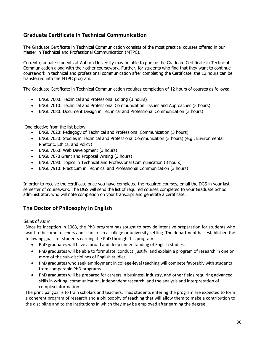## **Graduate Certificate in Technical Communication**

The Graduate Certificate in Technical Communication consists of the most practical courses offered in our Master in Technical and Professional Communication (MTPC).

Current graduate students at Auburn University may be able to pursue the Graduate Certificate in Technical Communication along with their other coursework. Further, for students who find that they want to continue coursework in technical and professional communication after completing the Certificate, the 12 hours can be transferred into the MTPC program.

The Graduate Certificate in Technical Communication requires completion of 12 hours of courses as follows:

- ENGL 7000: Technical and Professional Editing (3 hours)
- ENGL 7010: Technical and Professional Communication: Issues and Approaches (3 hours)
- ENGL 7080: Document Design in Technical and Professional Communication (3 hours)

One elective from the list below.

- ENGL 7020: Pedagogy of Technical and Professional Communication (3 hours)
- ENGL 7030: Studies in Technical and Professional Communication (3 hours) (e.g., Environmental Rhetoric, Ethics, and Policy)
- ENGL 7060: Web Development (3 hours)
- ENGL 7070 Grant and Proposal Writing (3 hours)
- ENGL 7090: Topics in Technical and Professional Communication (3 hours)
- ENGL 7910: Practicum in Technical and Professional Communication (3 hours)

In order to receive the certificate once you have completed the required courses, email the DGS in your last semester of coursework. The DGS will send the list of required courses completed to your Graduate School administrator, who will note completion on your transcript and generate a certificate.

## **The Doctor of Philosophy in English**

## *General Aims*

Since its inception in 1963, the PhD program has sought to provide intensive preparation for students who want to become teachers and scholars in a college or university setting. The department has established the following goals for students earning the PhD through this program:

- PhD graduates will have a broad and deep understanding of English studies.
- PhD graduates will be able to formulate, conduct, justify, and explain a program of research in one or more of the sub-disciplines of English studies.
- PhD graduates who seek employment in college-level teaching will compete favorably with students from comparable PhD programs.
- PhD graduates will be prepared for careers in business, industry, and other fields requiring advanced skills in writing, communication, independent research, and the analysis and interpretation of complex information.

The principal goal is to train scholars and teachers. Thus students entering the program are expected to form a coherent program of research and a philosophy of teaching that will allow them to make a contribution to the discipline and to the institutions in which they may be employed after earning the degree.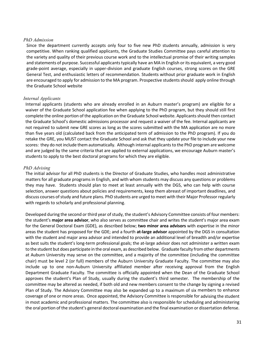## *PhD Admission*

Since the department currently accepts only four to five new PhD students annually, admission is very competitive. When ranking qualified applicants, the Graduate Studies Committee pays careful attention to the variety and quality of their previous course work and to the intellectual promise of their writing samples and statements of purpose. Successful applicants typically have an MA in English or its equivalent, a very good grade-point average, especially in upper-division and graduate English courses, strong scores on the GRE General Test, and enthusiastic letters of recommendation. Students without prior graduate work in English are encouraged to apply for admission to the MA program. Prospective studentsshould apply online through the Graduate School website

## *Internal Applicants*

Internal applicants (students who are already enrolled in an Auburn master's program) are eligible for a waiver of the Graduate School application fee when applying to the PhD program, but they should still first complete the online portion of the application on the Graduate School website. Applicants should then contact the Graduate School's domestic admissions processor and request a waiver of the fee. Internal applicants are not required to submit new GRE scores as long as the scores submitted with the MA application are no more than five years old (calculated back from the anticipated term of admission to the PhD program). If you do retake the GRE, you MUST contact the Graduate School and ask that they update your file to include your new scores: they do not include them automatically. Although internal applicants to the PhD program are welcome and are judged by the same criteria that are applied to external applications, we encourage Auburn master's students to apply to the best doctoral programs for which they are eligible.

## *PhD Advising*

The initial advisor for all PhD students is the Director of Graduate Studies, who handles most administrative matters for all graduate programs in English, and with whom students may discuss any questions or problems they may have. Students should plan to meet at least annually with the DGS, who can help with course selection, answer questions about policies and requirements, keep them abreast of important deadlines, and discuss courses of study and future plans. PhD students are urged to meet with their Major Professor regularly with regards to scholarly and professional planning.

Developed during the second or third year of study, the student's Advisory Committee consists of four members: the student's **major area advisor**, who also serves as committee chair and writes the student's major area exam for the General Doctoral Exam (GDE), as described below; **two minor area advisors** with expertise in the minor areas the student has proposed for the GDE; and a fourth **at-large advisor** appointed by the DGS in consultation with the student and major area advisor and intended to provide an additional level of breadth and/or expertise as best suits the student's long-term professional goals; the at-large advisor does not administer a written exam to the student but does participate in the oral exam, as described below. Graduate faculty from other departments at Auburn University may serve on the committee, and a majority of the committee (including the committee chair) must be level 2 (or full) members of the Auburn University Graduate Faculty. The committee may also include up to one non-Auburn University affiliated member after receiving approval from the English Department Graduate Faculty. The committee is officially appointed when the Dean of the Graduate School approves the student's Plan of Study, usually during the student's third semester. The membership of the committee may be altered as needed, if both old and new members consent to the change by signing a revised Plan of Study. The Advisory Committee may also be expanded up to a maximum of six members to enhance coverage of one or more areas. Once appointed, the Advisory Committee isresponsible for advising the student in most academic and professional matters. The committee also is responsible for scheduling and administering the oral portion of the student's general doctoral examination and the final examination or dissertation defense.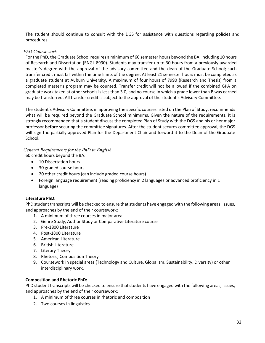The student should continue to consult with the DGS for assistance with questions regarding policies and procedures.

## *PhD Coursework*

For the PhD, the Graduate School requires a minimum of 60 semester hours beyond the BA, including 10 hours of Research and Dissertation (ENGL 8990). Students may transfer up to 30 hours from a previously awarded master's degree with the approval of the advisory committee and the dean of the Graduate School; such transfer credit must fall within the time limits of the degree. At least 21 semester hours must be completed as a graduate student at Auburn University. A maximum of four hours of 7990 (Research and Thesis) from a completed master's program may be counted. Transfer credit will not be allowed if the combined GPA on graduate work taken at other schools is less than 3.0, and no course in which a grade lower than B was earned may be transferred. All transfer credit is subject to the approval of the student's Advisory Committee.

The student's Advisory Committee, in approving the specific courses listed on the Plan of Study, recommends what will be required beyond the Graduate School minimums. Given the nature of the requirements, it is strongly recommended that a student discuss the completed Plan of Study with the DGS and his or her major professor **before** securing the committee signatures. After the student secures committee approval, the DGS will sign the partially-approved Plan for the Department Chair and forward it to the Dean of the Graduate School.

## *General Requirements for the PhD in English*

60 credit hours beyond the BA:

- 10 Dissertation hours
- 30 graded course hours
- 20 other credit hours (can include graded course hours)
- Foreign language requirement (reading proficiency in 2 languages or advanced proficiency in 1 language)

## **Literature PhD:**

PhD student transcripts will be checked to ensure that students have engaged with the following areas, issues, and approaches by the end of their coursework:

- 1. A minimum of three courses in major area
- 2. Genre Study, Author Study or Comparative Literature course
- 3. Pre-1800 Literature
- 4. Post-1800 Literature
- 5. American Literature
- 6. British Literature
- 7. Literary Theory
- 8. Rhetoric, Composition Theory
- 9. Coursework in special areas (Technology and Culture, Globalism, Sustainability, Diversity) or other interdisciplinary work.

## **Composition and Rhetoric PhD:**

PhD student transcripts will be checked to ensure that students have engaged with the following areas, issues, and approaches by the end of their coursework:

- 1. A minimum of three courses in rhetoric and composition
- 2. Two courses in linguistics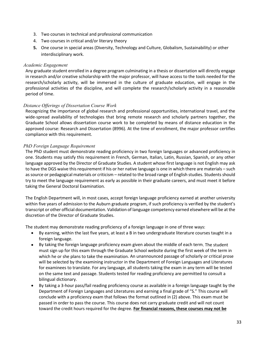- 3. Two courses in technical and professional communication
- 4. Two courses in critical and/or literary theory
- **5.** One course in special areas (Diversity, Technology and Culture, Globalism, Sustainability) or other interdisciplinary work.

## *Academic Engagement*

Any graduate student enrolled in a degree program culminating in a thesis or dissertation will directly engage in research and/or creative scholarship with the major professor, will have access to the tools needed for the research/scholarly activity, will be immersed in the culture of graduate education, will engage in the professional activities of the discipline, and will complete the research/scholarly activity in a reasonable period of time.

## *Distance Offerings of Dissertation Course Work*

Recognizing the importance of global research and professional opportunities, international travel, and the wide-spread availability of technologies that bring remote research and scholarly partners together, the Graduate School allows dissertation course work to be completed by means of distance education in the approved course: Research and Dissertation (8996). At the time of enrollment, the major professor certifies compliance with this requirement.

## *PhD Foreign Language Requirement*

The PhD student must demonstrate reading proficiency in two foreign languages or advanced proficiency in one. Students may satisfy this requirement in French, German, Italian, Latin, Russian, Spanish, or any other language approved by the Director of Graduate Studies. A student whose first language is not English may ask to have the DGS waive this requirement if his or her native language is one in which there are materials – such as source or pedagogical materials or criticism – related to the broad range of English studies. Students should try to meet the language requirement as early as possible in their graduate careers, and must meet it before taking the General Doctoral Examination.

The English Department will, in most cases, accept foreign language proficiency earned at another university within five years of admission to the Auburn graduate program, if such proficiency is verified by the student's transcript or other official documentation. Validation of language competency earned elsewhere will be at the discretion of the Director of Graduate Studies.

The student may demonstrate reading proficiency of a foreign language in one of three ways:

- By earning, within the last five years, at least a B in two undergraduate literature courses taught in a foreign language.
- By taking the foreign language proficiency exam given about the middle of each term. The student must sign up for this exam through the Graduate School website during the first week of the term in which he or she plans to take the examination. An unannounced passage of scholarly or critical prose will be selected by the examining instructor in the Department of Foreign Languages and Literatures for examinees to translate. For any language, all students taking the exam in any term will be tested on the same text and passage. Students tested for reading proficiency are permitted to consult a bilingual dictionary.
- By taking a 3-hour pass/fail reading proficiency course as available in a foreign language taught by the Department of Foreign Languages and Literatures and earning a final grade of "S." This course will conclude with a proficiency exam that follows the format outlined in (2) above. This exam must be passed in order to pass the course. This course does not carry graduate credit and will not count toward the credit hours required for the degree. **For financial reasons, these courses may not be**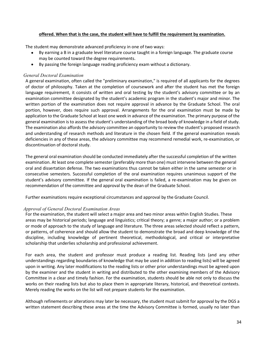## **offered. When that is the case, the student will have to fulfill the requirement by examination.**

The student may demonstrate advanced proficiency in one of two ways:

- By earning a B in a graduate level literature course taught in a foreign language. The graduate course may be counted toward the degree requirements.
- By passing the foreign language reading proficiency exam without a dictionary.

## *General Doctoral Examination*

A general examination, often called the "preliminary examination," is required of all applicants for the degrees of doctor of philosophy. Taken at the completion of coursework and after the student has met the foreign language requirement, it consists of written and oral testing by the student's advisory committee or by an examination committee designated by the student's academic program in the student's major and minor. The written portion of the examination does not require approval in advance by the Graduate School. The oral portion, however, does require such approval. Arrangements for the oral examination must be made by application to the Graduate School at least one week in advance of the examination. The primary purpose of the general examination is to assess the student's understanding of the broad body of knowledge in a field of study. The examination also affords the advisory committee an opportunity to review the student's proposed research and understanding of research methods and literature in the chosen field. If the general examination reveals deficiencies in any of these areas, the advisory committee may recommend remedial work, re-examination, or discontinuation of doctoral study.

The general oral examination should be conducted immediately after the successful completion of the written examination. At least one complete semester (preferably more than one) must intervene between the general oral and dissertation defense. The two examinations thus cannot be taken either in the same semester or in consecutive semesters. Successful completion of the oral examination requires unanimous support of the student's advisory committee. If the general oral examination is failed, a re-examination may be given on recommendation of the committee and approval by the dean of the Graduate School.

Further examinations require exceptional circumstances and approval by the Graduate Council.

## *Approval of General Doctoral Examination Areas*

For the examination, the student will select a major area and two minor areas within English Studies. These areas may be historical periods; language and linguistics; critical theory; a genre; a major author; or a problem or mode of approach to the study of language and literature. The three areas selected should reflect a pattern, or patterns, of coherence and should allow the student to demonstrate the broad and deep knowledge of the discipline, including knowledge of pertinent theoretical, methodological, and critical or interpretative scholarship that underlies scholarship and professional achievement.

For each area, the student and professor must produce a reading list. Reading lists (and any other understandings regarding boundaries of knowledge that may be used in addition to reading lists) will be agreed upon in writing. Any later modifications to the reading lists or other prior understandings must be agreed upon by the examiner and the student in writing and distributed to the other examining members of the Advisory Committee in a clear and timely fashion. For the examination, students should be able not only to discuss the works on their reading lists but also to place them in appropriate literary, historical, and theoretical contexts. Merely reading the works on the list will not prepare students for the examination.

Although refinements or alterations may later be necessary, the student must submit for approval by the DGS a written statement describing these areas at the time the Advisory Committee is formed, usually no later than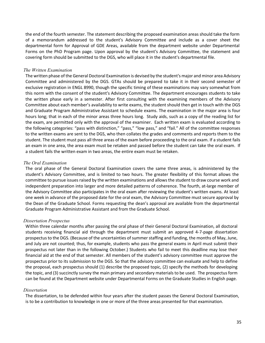the end of the fourth semester. The statement describing the proposed examination areas should take the form of a memorandum addressed to the student's Advisory Committee and include as a cover sheet the departmental form for Approval of GDE Areas, available from the department website under Departmental Forms on the PhD Program page. Upon approval by the student's Advisory Committee, the statement and covering form should be submitted to the DGS, who will place it in the student's departmental file.

## *The Written Examination*

The written phase of the General Doctoral Examination is devised by the student's major and minor area Advisory Committee and administered by the DGS. GTAs should be prepared to take it in their second semester of exclusive registration in ENGL 8990, though the specific timing of these examinations may vary somewhat from this norm with the consent of the student's Advisory Committee. The department encourages students to take the written phase early in a semester. After first consulting with the examining members of the Advisory Committee about each member's availability to write exams, the student should then get in touch with the DGS and Graduate Program Administrative Assistant to schedule exams. The examination in the major area is four hours long; that in each of the minor areas three hours long. Study aids, such as a copy of the reading list for the exam, are permitted only with the approval of the examiner. Each written exam is evaluated according to the following categories: "pass with distinction," "pass," "low pass," and "fail." All of the committee responses to the written exams are sent to the DGS, who then collates the grades and comments and reports them to the student. The student must pass all three areas of the exam before proceeding to the oral exam. If a student fails an exam in one area, the area exam must be retaken and passed before the student can take the oral exam. If a student fails the written exam in two areas, the entire exam must be retaken.

## *The Oral Examination*

The oral phase of the General Doctoral Examination covers the same three areas, is administered by the student's Advisory Committee, and is limited to two hours. The greater flexibility of this format allows the committee to pursue issues raised by the written examinations and allowsthe student to draw course work and independent preparation into larger and more detailed patterns of coherence. The fourth, at-large member of the Advisory Committee also participates in the oral exam after reviewing the student's written exams. At least one week in advance of the proposed date for the oral exam, the Advisory Committee must secure approval by the Dean of the Graduate School. Forms requesting the dean's approval are available from the departmental Graduate Program Administrative Assistant and from the Graduate School.

## *Dissertation Prospectus*

Within three calendar months after passing the oral phase of their General Doctoral Examination, all doctoral students receiving financial aid through the department must submit an approved 4-7-page dissertation prospectus to the DGS. (Because of the uncertainties of summer staffing and funding, the months of May, June, and July are not counted; thus, for example, students who pass the general exams in April must submit their prospectus not later than in the following October.) Students who fail to meet this deadline may lose their financial aid at the end of that semester. All members of the student's advisory committee must approve the prospectus prior to its submission to the DGS. So that the advisory committee can evaluate and help to define the proposal, each prospectus should (1) describe the proposed topic, (2) specify the methods for developing the topic, and (3) succinctly survey the main primary and secondary materials to be used. The prospectusform can be found at the Department website under Departmental Forms on the Graduate Studies in English page.

#### *Dissertation*

The dissertation, to be defended within four years after the student passes the General Doctoral Examination, is to be a contribution to knowledge in one or more of the three areas presented for that examination.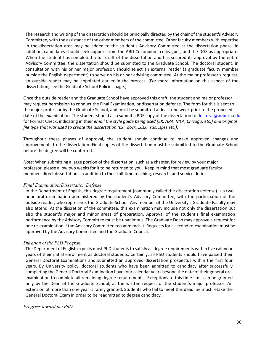The research and writing of the dissertation should be principally directed by the chair of the student's Advisory Committee, with the assistance of the other members of the committee. Other faculty members with expertise in the dissertation area may be added to the student's Advisory Committee at the dissertation phase. In addition, candidates should seek support from the ABD Colloquium, colleagues, and the DGS as appropriate. When the student has completed a full draft of the dissertation and has secured its approval by the entire Advisory Committee, the dissertation should be submitted to the Graduate School. The doctoral student, in consultation with his or her major professor, should select an external reader (a graduate faculty member outside the English department) to serve on his or her advising committee. At the major professor's request, an outside reader may be appointed earlier in the process. (For more information on this aspect of the dissertation, see the Graduate School Policies page.)

Once the outside reader and the Graduate School have approved this draft, the student and major professor may request permission to conduct the Final Examination, or dissertation defense. The form for this is sent to the major professor by the Graduate School, and must be submitted at least one week prior to the proposed date of the examination. The student should also submit a PDF copy of the dissertation to **doctoral@auburn.edu** for Format Check, indicating in their *email the style guide being used (EX: APA, MLA, Chicago, etc.) and original file type that was used to create the dissertation (Ex: .docx, .xlsx, .sas, .spss etc.).*

Throughout these phases of approval, the student should continue to make approved changes and improvements to the dissertation. Final copies of the dissertation must be submitted to the Graduate School before the degree will be conferred.

*Note*: When submitting a large portion of the dissertation, such as a chapter, for review by your major professor, please allow two weeks for it to be returned to you. Keep in mind that most graduate faculty members direct dissertations in addition to their full-time teaching, research, and service duties.

#### *Final Examination/Dissertation Defense*

In the Department of English, this degree requirement (commonly called the dissertation defense) is a twohour oral examination administered by the student's Advisory Committee, with the participation of the outside reader, who represents the Graduate School. Any member of the University's Graduate Faculty may also attend. At the discretion of the committee, this examination may include not only the dissertation but also the student's major and minor areas of preparation. Approval of the student's final examination performance by the Advisory Committee must be unanimous. The Graduate Dean may approve a request for one re-examination if the Advisory Committee recommends it. Requests for a second re-examination must be approved by the Advisory Committee and the Graduate Council.

## *Duration of the PhD Program*

The Department of English expects most PhD students to satisfy all degree requirements within five calendar years of their initial enrollment as doctoral students. Certainly, all PhD students should have passed their General Doctoral Examinations and submitted an approved dissertation prospectus within the first four years. By University policy, doctoral students who have been admitted to candidacy after successfully completing the General Doctoral Examination have four calendar years beyond the date of their general oral examination to complete all remaining degree requirements. Exceptions to this time limit can be granted only by the Dean of the Graduate School, at the written request of the student's major professor. An extension of more than one year is rarely granted. Students who fail to meet this deadline must retake the General Doctoral Exam in order to be readmitted to degree candidacy.

#### *Progress toward the PhD*